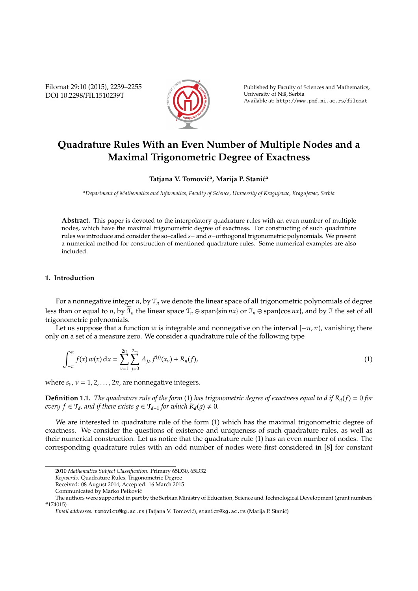Filomat 29:10 (2015), 2239–2255 DOI 10.2298/FIL1510239T



Published by Faculty of Sciences and Mathematics, University of Niš, Serbia Available at: http://www.pmf.ni.ac.rs/filomat

# **Quadrature Rules With an Even Number of Multiple Nodes and a Maximal Trigonometric Degree of Exactness**

# Tatjana V. Tomović<sup>a</sup>, Marija P. Stanić<sup>a</sup>

*<sup>a</sup>Department of Mathematics and Informatics, Faculty of Science, University of Kragujevac, Kragujevac, Serbia*

**Abstract.** This paper is devoted to the interpolatory quadrature rules with an even number of multiple nodes, which have the maximal trigonometric degree of exactness. For constructing of such quadrature rules we introduce and consider the so–called *s*− and σ−orthogonal trigonometric polynomials. We present a numerical method for construction of mentioned quadrature rules. Some numerical examples are also included.

### **1. Introduction**

For a nonnegative integer *n*, by T*<sup>n</sup>* we denote the linear space of all trigonometric polynomials of degree less than or equal to *n*, by  $\mathcal{T}_n$  the linear space  $\mathcal{T}_n \ominus$  span{sin *nx*} or  $\mathcal{T}_n \ominus$  span{cos *nx*}, and by  $\mathcal{T}$  the set of all trigonometric polynomials.

Let us suppose that a function *w* is integrable and nonnegative on the interval  $[-\pi, \pi)$ , vanishing there only on a set of a measure zero. We consider a quadrature rule of the following type

$$
\int_{-\pi}^{\pi} f(x) w(x) dx = \sum_{\nu=1}^{2n} \sum_{j=0}^{2s_{\nu}} A_{j,\nu} f^{(j)}(x_{\nu}) + R_n(f), \qquad (1)
$$

where  $s_v$ ,  $v = 1, 2, \ldots, 2n$ , are nonnegative integers.

**Definition 1.1.** *The quadrature rule of the form* (1) *has trigonometric degree of exactness equal to d if Rd*(*f*) = 0 *for every*  $f \in \mathcal{T}_d$ *, and if there exists*  $g \in \mathcal{T}_{d+1}$  *for which*  $R_d(g) \neq 0$ *.* 

We are interested in quadrature rule of the form (1) which has the maximal trigonometric degree of exactness. We consider the questions of existence and uniqueness of such quadrature rules, as well as their numerical construction. Let us notice that the quadrature rule (1) has an even number of nodes. The corresponding quadrature rules with an odd number of nodes were first considered in [8] for constant

<sup>2010</sup> *Mathematics Subject Classification*. Primary 65D30, 65D32

*Keywords*. Quadrature Rules, Trigonometric Degree

Received: 08 August 2014; Accepted: 16 March 2015

Communicated by Marko Petkovic´

The authors were supported in part by the Serbian Ministry of Education, Science and Technological Development (grant numbers #174015)

*Email addresses:* tomovict@kg.ac.rs (Tatjana V. Tomović), stanicm@kg.ac.rs (Marija P. Stanić)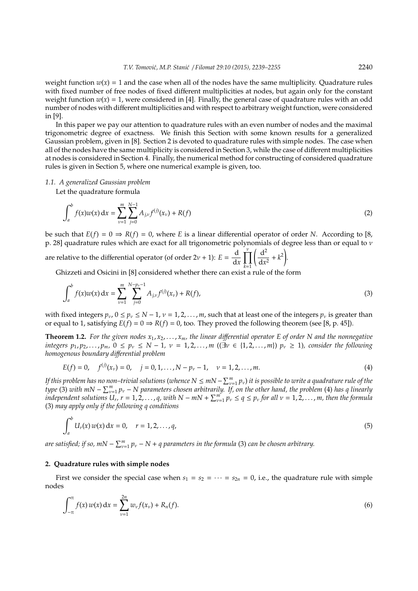.

weight function  $w(x) = 1$  and the case when all of the nodes have the same multiplicity. Quadrature rules with fixed number of free nodes of fixed different multiplicities at nodes, but again only for the constant weight function  $w(x) = 1$ , were considered in [4]. Finally, the general case of quadrature rules with an odd number of nodes with different multiplicities and with respect to arbitrary weight function, were considered in [9].

In this paper we pay our attention to quadrature rules with an even number of nodes and the maximal trigonometric degree of exactness. We finish this Section with some known results for a generalized Gaussian problem, given in [8]. Section 2 is devoted to quadrature rules with simple nodes. The case when all of the nodes have the same multiplicity is considered in Section 3, while the case of different multiplicities at nodes is considered in Section 4. Finally, the numerical method for constructing of considered quadrature rules is given in Section 5, where one numerical example is given, too.

#### *1.1. A generalized Gaussian problem*

Let the quadrature formula

$$
\int_{a}^{b} f(x)w(x) dx = \sum_{\nu=1}^{m} \sum_{j=0}^{N-1} A_{j,\nu} f^{(j)}(x_{\nu}) + R(f)
$$
 (2)

be such that  $E(f) = 0 \Rightarrow R(f) = 0$ , where *E* is a linear differential operator of order *N*. According to [8, p. 28] quadrature rules which are exact for all trigonometric polynomials of degree less than or equal to ν

are relative to the differential operator (of order  $2v + 1$ ):  $E = \frac{d}{dt}$ d*x*  $\prod^{\nu}$ *k*=1  $\int d^2$  $\frac{d^2}{dx^2} + k^2$ 

Ghizzeti and Osicini in [8] considered whether there can exist a rule of the form

$$
\int_{a}^{b} f(x)w(x) dx = \sum_{\nu=1}^{m} \sum_{j=0}^{N-p_{\nu}-1} A_{j,\nu} f^{(j)}(x_{\nu}) + R(f),
$$
\n(3)

with fixed integers  $p_v$ ,  $0 \le p_v \le N - 1$ ,  $v = 1, 2, ..., m$ , such that at least one of the integers  $p_v$  is greater than or equal to 1, satisfying  $E(f) = 0 \Rightarrow R(f) = 0$ , too. They proved the following theorem (see [8, p. 45]).

**Theorem 1.2.** For the given nodes  $x_1, x_2, \ldots, x_m$ , the linear differential operator E of order N and the nonnegative *integers*  $p_1, p_2, ..., p_m$ , 0 ≤  $p_v$  ≤ N − 1, v = 1, 2, ..., m ((∃v ∈ {1, 2, ..., m})  $p_v$  ≥ 1), consider the following *homogenous boundary di*ff*erential problem*

$$
E(f) = 0, \quad f^{(j)}(x_{\nu}) = 0, \quad j = 0, 1, ..., N - p_{\nu} - 1, \quad \nu = 1, 2, ..., m.
$$
 (4)

*If this problem has no non–trivial solutions (whence*  $N \leq mN - \sum_{\nu=1}^m p_\nu$ *) it is possible to write a quadrature rule of the type* (3) with  $mN - \sum_{\nu=1}^{m} p_{\nu} - N$  parameters chosen arbitrarily. If, on the other hand, the problem (4) has q linearly *independent solutions*  $U_r$ ,  $r = 1, 2, ..., q$ , with  $N - mN + \sum_{\nu=1}^m p_\nu \le q \le p_\nu$  for all  $\nu = 1, 2, ..., m$ , then the formula (3) *may apply only if the following q conditions*

$$
\int_{a}^{b} U_{r}(x) w(x) dx = 0, \quad r = 1, 2, ..., q,
$$
\n(5)

are satisfied; if so, m $N-\sum_{\nu=1}^m p_\nu-N+q$  parameters in the formula (3) can be chosen arbitrary.

#### **2. Quadrature rules with simple nodes**

First we consider the special case when  $s_1 = s_2 = \cdots = s_{2n} = 0$ , i.e., the quadrature rule with simple nodes

$$
\int_{-\pi}^{\pi} f(x) w(x) dx = \sum_{\nu=1}^{2n} w_{\nu} f(x_{\nu}) + R_n(f).
$$
 (6)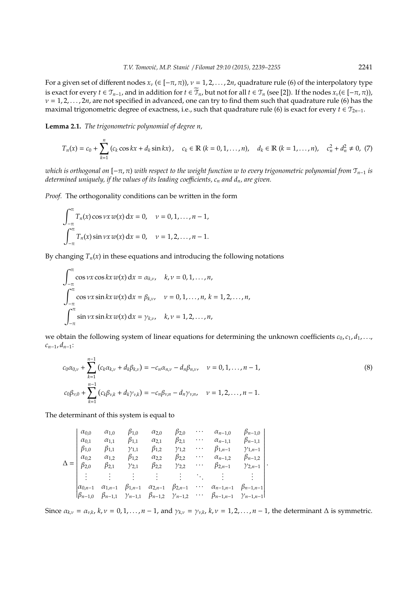For a given set of different nodes  $x_v$  ( $\in [-\pi, \pi)$ ),  $v = 1, 2, \ldots, 2n$ , quadrature rule (6) of the interpolatory type is exact for every  $t \in \mathcal{T}_{n-1}$ , and in addition for  $t \in \mathcal{T}_n$ , but not for all  $t \in \mathcal{T}_n$  (see [2]). If the nodes  $x_v(\in [-\pi,\pi))$ ,  $v = 1, 2, \ldots, 2n$ , are not specified in advanced, one can try to find them such that quadrature rule (6) has the maximal trigonometric degree of exactness, i.e., such that quadrature rule (6) is exact for every  $t \in T_{2n-1}$ .

**Lemma 2.1.** *The trigonometric polynomial of degree n,*

$$
T_n(x) = c_0 + \sum_{k=1}^n (c_k \cos kx + d_k \sin kx), \quad c_k \in \mathbb{R} \ (k = 0, 1, ..., n), \quad d_k \in \mathbb{R} \ (k = 1, ..., n), \quad c_n^2 + d_n^2 \neq 0, \ (7)
$$

*which is orthogonal on*  $[-\pi, \pi)$  *with respect to the weight function w to every trigonometric polynomial from*  $\mathcal{T}_{n-1}$  *is determined uniquely, if the values of its leading coe*ffi*cients, c<sup>n</sup> and dn, are given.*

*Proof.* The orthogonality conditions can be written in the form

$$
\int_{-\pi}^{\pi} T_n(x) \cos \nu x \, w(x) \, dx = 0, \quad \nu = 0, 1, ..., n-1,
$$

$$
\int_{-\pi}^{\pi} T_n(x) \sin \nu x \, w(x) \, dx = 0, \quad \nu = 1, 2, ..., n-1.
$$

By changing  $T_n(x)$  in these equations and introducing the following notations

$$
\int_{-\pi}^{\pi} \cos \nu x \cos kx \, w(x) \, dx = \alpha_{k,\nu}, \quad k, \nu = 0, 1, ..., n,
$$
  

$$
\int_{-\pi}^{\pi} \cos \nu x \sin kx \, w(x) \, dx = \beta_{k,\nu}, \quad \nu = 0, 1, ..., n, k = 1, 2, ..., n,
$$
  

$$
\int_{-\pi}^{\pi} \sin \nu x \sin kx \, w(x) \, dx = \gamma_{k,\nu}, \quad k, \nu = 1, 2, ..., n,
$$

we obtain the following system of linear equations for determining the unknown coefficients  $c_0, c_1, d_1, \ldots$ , *cn*−1, *dn*−1:

$$
c_0 \alpha_{0,\nu} + \sum_{k=1}^{n-1} (c_k \alpha_{k,\nu} + d_k \beta_{k,\nu}) = -c_n \alpha_{n,\nu} - d_n \beta_{n,\nu}, \quad \nu = 0, 1, ..., n-1,
$$
  

$$
c_0 \beta_{\nu,0} + \sum_{k=1}^{n-1} (c_k \beta_{\nu,k} + d_k \gamma_{\nu,k}) = -c_n \beta_{\nu,n} - d_n \gamma_{\nu,n}, \quad \nu = 1, 2, ..., n-1.
$$
 (8)

The determinant of this system is equal to

$$
\Delta = \begin{vmatrix}\n\alpha_{0,0} & \alpha_{1,0} & \beta_{1,0} & \alpha_{2,0} & \beta_{2,0} & \cdots & \alpha_{n-1,0} & \beta_{n-1,0} \\
\alpha_{0,1} & \alpha_{1,1} & \beta_{1,1} & \alpha_{2,1} & \beta_{2,1} & \cdots & \alpha_{n-1,1} & \beta_{n-1,1} \\
\beta_{1,0} & \beta_{1,1} & \gamma_{1,1} & \beta_{1,2} & \gamma_{1,2} & \cdots & \beta_{1,n-1} & \gamma_{1,n-1} \\
\alpha_{0,2} & \alpha_{1,2} & \beta_{1,2} & \alpha_{2,2} & \beta_{2,2} & \cdots & \alpha_{n-1,2} & \beta_{n-1,2} \\
\beta_{2,0} & \beta_{2,1} & \gamma_{2,1} & \beta_{2,2} & \gamma_{2,2} & \cdots & \beta_{2,n-1} & \gamma_{2,n-1} \\
\vdots & \vdots & \vdots & \vdots & \vdots & \ddots & \vdots & \vdots \\
\alpha_{0,n-1} & \alpha_{1,n-1} & \beta_{1,n-1} & \alpha_{2,n-1} & \beta_{2,n-1} & \cdots & \alpha_{n-1,n-1} & \beta_{n-1,n-1} \\
\beta_{n-1,0} & \beta_{n-1,1} & \gamma_{n-1,1} & \beta_{n-1,2} & \gamma_{n-1,2} & \cdots & \beta_{n-1,n-1} & \gamma_{n-1,n-1}\n\end{vmatrix}.
$$

Since  $\alpha_{k,v} = \alpha_{v,k}$ ,  $k, v = 0, 1, ..., n-1$ , and  $\gamma_{k,v} = \gamma_{v,k}$ ,  $k, v = 1, 2, ..., n-1$ , the determinant  $\Delta$  is symmetric.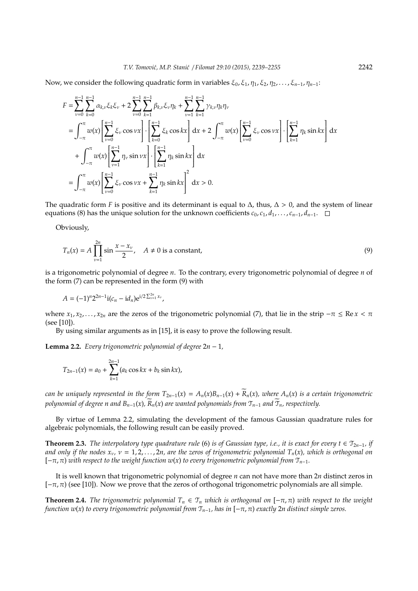Now, we consider the following quadratic form in variables  $\xi_0, \xi_1, \eta_1, \xi_2, \eta_2, \ldots, \xi_{n-1}, \eta_{n-1}$ :

$$
F = \sum_{\nu=0}^{n-1} \sum_{k=0}^{n-1} \alpha_{k,\nu} \xi_k \xi_{\nu} + 2 \sum_{\nu=0}^{n-1} \sum_{k=1}^{n-1} \beta_{k,\nu} \xi_{\nu} \eta_k + \sum_{\nu=1}^{n-1} \sum_{k=1}^{n-1} \gamma_{k,\nu} \eta_k \eta_{\nu}
$$
  
\n
$$
= \int_{-\pi}^{\pi} w(x) \left[ \sum_{\nu=0}^{n-1} \xi_{\nu} \cos \nu x \right] \cdot \left[ \sum_{k=0}^{n-1} \xi_k \cos kx \right] dx + 2 \int_{-\pi}^{\pi} w(x) \left[ \sum_{\nu=0}^{n-1} \xi_{\nu} \cos \nu x \right] \cdot \left[ \sum_{k=1}^{n-1} \eta_k \sin kx \right] dx
$$
  
\n
$$
+ \int_{-\pi}^{\pi} w(x) \left[ \sum_{\nu=1}^{n-1} \eta_{\nu} \sin \nu x \right] \cdot \left[ \sum_{k=1}^{n-1} \eta_k \sin kx \right] dx
$$
  
\n
$$
= \int_{-\pi}^{\pi} w(x) \left[ \sum_{\nu=0}^{n-1} \xi_{\nu} \cos \nu x + \sum_{k=1}^{n-1} \eta_k \sin kx \right] dx > 0.
$$

The quadratic form *F* is positive and its determinant is equal to  $\Delta$ , thus,  $\Delta > 0$ , and the system of linear equations (8) has the unique solution for the unknown coefficients  $c_0$ ,  $c_1$ ,  $d_1$ , ...,  $c_{n-1}$ ,  $d_{n-1}$ .  $\Box$ 

Obviously,

$$
T_n(x) = A \prod_{\nu=1}^{2n} \sin \frac{x - x_\nu}{2}, \quad A \neq 0 \text{ is a constant}, \tag{9}
$$

is a trigonometric polynomial of degree *n*. To the contrary, every trigonometric polynomial of degree *n* of the form (7) can be represented in the form (9) with

$$
A = (-1)^n 2^{2n-1} \mathrm{i} (c_n - \mathrm{i} d_n) e^{\mathrm{i} \left( 2 \sum_{\nu=1}^{2n} x_{\nu} \right)},
$$

where  $x_1, x_2, \ldots, x_{2n}$  are the zeros of the trigonometric polynomial (7), that lie in the strip  $-\pi \leq \text{Re } x < \pi$ (see [10]).

By using similar arguments as in [15], it is easy to prove the following result.

**Lemma 2.2.** *Every trigonometric polynomial of degree*  $2n - 1$ *,* 

$$
T_{2n-1}(x) = a_0 + \sum_{k=1}^{2n-1} (a_k \cos kx + b_k \sin kx),
$$

*can be uniquely represented in the form*  $T_{2n-1}(x) = A_n(x)B_{n-1}(x) + \overline{R}_n(x)$ *, where*  $A_n(x)$  *is a certain trigonometric polynomial of degree n and*  $B_{n-1}(x)$ *,*  $\widetilde{R}_n(x)$  are wanted polynomials from  $\mathcal{T}_{n-1}$  and  $\widetilde{\mathcal{T}}_n$ *, respectively.* 

By virtue of Lemma 2.2, simulating the development of the famous Gaussian quadrature rules for algebraic polynomials, the following result can be easily proved.

**Theorem 2.3.** *The interpolatory type quadrature rule* (6) *is of Gaussian type, i.e., it is exact for every t* ∈  $\mathcal{T}_{2n-1}$ *, if and only if the nodes*  $x_v$ ,  $v = 1, 2, ..., 2n$ , are the zeros of trigonometric polynomial  $T_n(x)$ , which is orthogonal on [−π, π) *with respect to the weight function w*(*x*) *to every trigonometric polynomial from* T*n*−1*.*

It is well known that trigonometric polynomial of degree *n* can not have more than 2*n* distinct zeros in  $[-\pi, \pi)$  (see [10]). Now we prove that the zeros of orthogonal trigonometric polynomials are all simple.

**Theorem 2.4.** *The trigonometric polynomial*  $T_n \in T_n$  *which is orthogonal on*  $[-\pi, \pi)$  *with respect to the weight function w*(*x*) *to every trigonometric polynomial from* T*n*−1*, has in* [−π, π) *exactly* 2*n distinct simple zeros.*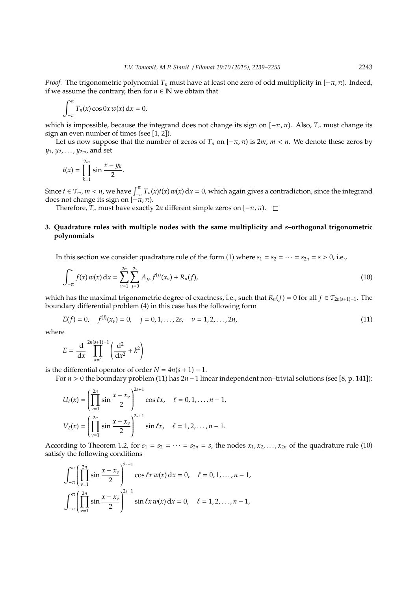*Proof.* The trigonometric polynomial  $T_n$  must have at least one zero of odd multiplicity in  $[-\pi, \pi]$ . Indeed, if we assume the contrary, then for  $n \in \mathbb{N}$  we obtain that

$$
\int_{-\pi}^{\pi} T_n(x) \cos 0x \, w(x) \, \mathrm{d}x = 0,
$$

which is impossible, because the integrand does not change its sign on  $[-\pi, \pi)$ . Also,  $T_n$  must change its sign an even number of times (see [1, 2]).

Let us now suppose that the number of zeros of  $T_n$  on  $[-\pi, \pi)$  is  $2m$ ,  $m < n$ . We denote these zeros by *y*1, *y*2, . . . , *y*2*<sup>m</sup>*, and set

$$
t(x) = \prod_{k=1}^{2m} \sin \frac{x - y_k}{2}.
$$

Since  $t \in \mathcal{T}_m$ ,  $m < n$ , we have  $\int_{-\pi}^{\pi} T_n(x)t(x) w(x) dx = 0$ , which again gives a contradiction, since the integrand does not change its sign on  $\left[-\pi,\pi\right)$ .

Therefore,  $T_n$  must have exactly 2*n* different simple zeros on  $[-\pi, \pi)$ .  $\square$ 

# **3. Quadrature rules with multiple nodes with the same multiplicity and** *s***–orthogonal trigonometric polynomials**

In this section we consider quadrature rule of the form (1) where  $s_1 = s_2 = \cdots = s_{2n} = s > 0$ , i.e.,

$$
\int_{-\pi}^{\pi} f(x) w(x) dx = \sum_{\nu=1}^{2n} \sum_{j=0}^{2s} A_{j,\nu} f^{(j)}(x_{\nu}) + R_n(f), \qquad (10)
$$

which has the maximal trigonometric degree of exactness, i.e., such that  $R_n(f) = 0$  for all  $f \in \mathcal{T}_{2n(s+1)-1}$ . The boundary differential problem (4) in this case has the following form

$$
E(f) = 0, \quad f^{(j)}(x_v) = 0, \quad j = 0, 1, ..., 2s, \quad v = 1, 2, ..., 2n,
$$
\n(11)

where

$$
E = \frac{d}{dx} \prod_{k=1}^{2n(s+1)-1} \left( \frac{d^2}{dx^2} + k^2 \right)
$$

is the differential operator of order  $N = 4n(s + 1) - 1$ .

For *n* > 0 the boundary problem (11) has 2*n*−1 linear independent non–trivial solutions (see [8, p. 141]):

$$
U_{\ell}(x) = \left(\prod_{\nu=1}^{2n} \sin \frac{x - x_{\nu}}{2}\right)^{2s+1} \cos \ell x, \quad \ell = 0, 1, ..., n-1,
$$
  

$$
V_{\ell}(x) = \left(\prod_{\nu=1}^{2n} \sin \frac{x - x_{\nu}}{2}\right)^{2s+1} \sin \ell x, \quad \ell = 1, 2, ..., n-1.
$$

According to Theorem 1.2, for  $s_1 = s_2 = \cdots = s_{2n} = s$ , the nodes  $x_1, x_2, \ldots, x_{2n}$  of the quadrature rule (10) satisfy the following conditions

$$
\int_{-\pi}^{\pi} \left( \prod_{\nu=1}^{2n} \sin \frac{x - x_{\nu}}{2} \right)^{2s+1} \cos \ell x \, w(x) \, dx = 0, \quad \ell = 0, 1, \dots, n-1,
$$
  

$$
\int_{-\pi}^{\pi} \left( \prod_{\nu=1}^{2n} \sin \frac{x - x_{\nu}}{2} \right)^{2s+1} \sin \ell x \, w(x) \, dx = 0, \quad \ell = 1, 2, \dots, n-1,
$$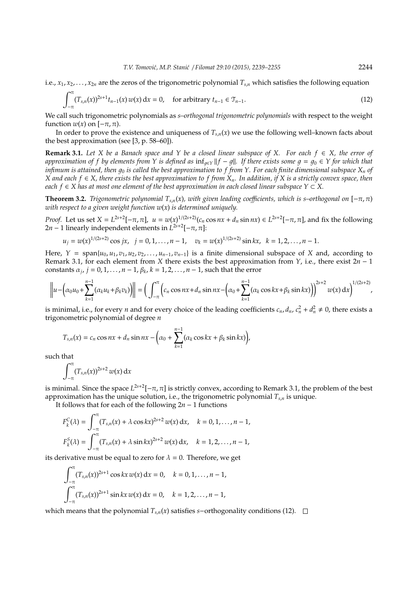i.e.,  $x_1, x_2, \ldots, x_{2n}$  are the zeros of the trigonometric polynomial  $T_{s,n}$  which satisfies the following equation

$$
\int_{-\pi}^{\pi} (T_{s,n}(x))^{2s+1} t_{n-1}(x) w(x) dx = 0, \quad \text{for arbitrary } t_{n-1} \in \mathcal{T}_{n-1}.
$$
 (12)

We call such trigonometric polynomials as *s–orthogonal trigonometric polynomials* with respect to the weight function  $w(x)$  on  $[-\pi, \pi)$ .

In order to prove the existence and uniqueness of  $T_{s,n}(x)$  we use the following well–known facts about the best approximation (see [3, p. 58–60]).

**Remark 3.1.** *Let X be a Banach space and Y be a closed linear subspace of X. For each f* ∈ *X, the error of approximation of f by elements from Y is defined as*  $\inf_{q \in Y} ||f - g||$ . If there exists some  $g = g_0 \in Y$  for which that *infimum is attained, then*  $g_0$  *is called the best approximation to f from Y. For each finite dimensional subspace*  $X_n$  *of X and each f* ∈ *X, there exists the best approximation to f from Xn. In addition, if X is a strictly convex space, then each*  $f \in X$  has at most one element of the best approximation in each closed linear subspace  $Y \subset X$ .

**Theorem 3.2.** *Trigonometric polynomial*  $T_{s,n}(x)$ *, with given leading coefficients, which is s–orthogonal on*  $[-\pi, \pi)$ *with respect to a given weight function w*(*x*) *is determined uniquely.*

*Proof.* Let us set  $X = L^{2s+2}[-\pi, \pi]$ ,  $u = w(x)^{1/(2s+2)}(c_n \cos nx + d_n \sin nx) \in L^{2s+2}[-\pi, \pi]$ , and fix the following 2*n* – 1 linearly independent elements in  $L^{2s+2}$ [ $-\pi, \pi$ ]:

$$
u_j = w(x)^{1/(2s+2)} \cos jx, \quad j = 0, 1, ..., n-1, \quad v_k = w(x)^{1/(2s+2)} \sin kx, \quad k = 1, 2, ..., n-1.
$$

Here,  $Y = \text{span}\{u_0, u_1, v_1, u_2, v_2, \dots, u_{n-1}, v_{n-1}\}$  is a finite dimensional subspace of *X* and, according to Remark 3.1, for each element from *X* there exists the best approximation from *Y*, i.e., there exist 2*n* − 1 constants  $\alpha_j$ ,  $j = 0, 1, \ldots, n - 1$ ,  $\beta_k$ ,  $k = 1, 2, \ldots, n - 1$ , such that the error

$$
\left\|u-\left(\alpha_0u_0+\sum_{k=1}^{n-1}(\alpha_ku_k+\beta_kv_k)\right)\right\|=\left(\int_{-\pi}^{\pi}\left(c_n\cos nx+d_n\sin nx-\left(\alpha_0+\sum_{k=1}^{n-1}(\alpha_k\cos kx+\beta_k\sin kx)\right)\right)^{2s+2}w(x)\,\mathrm{d}x\right)^{1/(2s+2)},
$$

is minimal, i.e., for every *n* and for every choice of the leading coefficients  $c_n$ ,  $d_n$ ,  $c_n^2 + d_n^2 \neq 0$ , there exists a trigonometric polynomial of degree *n*

$$
T_{s,n}(x) = c_n \cos nx + d_n \sin nx - \left(\alpha_0 + \sum_{k=1}^{n-1} (\alpha_k \cos kx + \beta_k \sin kx)\right),
$$

such that

$$
\int_{-\pi}^{\pi} (T_{s,n}(x))^{2s+2} w(x) \, \mathrm{d}x
$$

is minimal. Since the space  $L^{2s+2}[-\pi,\pi]$  is strictly convex, according to Remark 3.1, the problem of the best approximation has the unique solution, i.e., the trigonometric polynomial *Ts*,*<sup>n</sup>* is unique.

It follows that for each of the following 2*n* − 1 functions

$$
F_k^C(\lambda) = \int_{-\pi}^{\pi} (T_{s,n}(x) + \lambda \cos kx)^{2s+2} w(x) dx, \quad k = 0, 1, ..., n-1,
$$
  

$$
F_k^S(\lambda) = \int_{-\pi}^{\pi} (T_{s,n}(x) + \lambda \sin kx)^{2s+2} w(x) dx, \quad k = 1, 2, ..., n-1,
$$

its derivative must be equal to zero for  $\lambda = 0$ . Therefore, we get

$$
\int_{-\pi}^{\pi} (T_{s,n}(x))^{2s+1} \cos kx \, w(x) \, dx = 0, \quad k = 0, 1, \dots, n-1,
$$
  

$$
\int_{-\pi}^{\pi} (T_{s,n}(x))^{2s+1} \sin kx \, w(x) \, dx = 0, \quad k = 1, 2, \dots, n-1,
$$

which means that the polynomial *T*<sub>*s*,*n*</sub>(*x*) satisfies *s*−orthogonality conditions (12).  $\Box$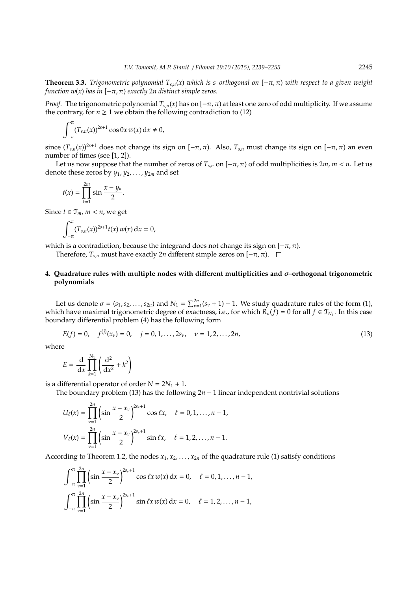**Theorem 3.3.** *Trigonometric polynomial*  $T_{s,n}(x)$  *which is s–orthogonal on*  $[-\pi,\pi)$  *with respect to a given weight function w(x) has in*  $[-\pi, \pi)$  *exactly* 2*n* distinct simple zeros.

*Proof.* The trigonometric polynomial  $T_{s,n}(x)$  has on  $[-\pi,\pi)$  at least one zero of odd multiplicity. If we assume the contrary, for  $n \geq 1$  we obtain the following contradiction to (12)

$$
\int_{-\pi}^{\pi} (T_{s,n}(x))^{2s+1} \cos 0x \, w(x) \, dx \neq 0,
$$

since  $(T_{s,n}(x))^{2s+1}$  does not change its sign on  $[-\pi,\pi)$ . Also,  $T_{s,n}$  must change its sign on  $[-\pi,\pi)$  an even number of times (see [1, 2]).

Let us now suppose that the number of zeros of  $T_{s,n}$  on  $[-\pi, \pi)$  of odd multiplicities is  $2m, m < n$ . Let us denote these zeros by *y*1, *y*2, . . . , *y*2*<sup>m</sup>* and set

$$
t(x)=\prod_{k=1}^{2m}\sin\frac{x-y_k}{2}.
$$

Since  $t \in \mathcal{T}_m$ ,  $m < n$ , we get

$$
\int_{-\pi}^{\pi} (T_{s,n}(x))^{2s+1} t(x) w(x) \, \mathrm{d}x = 0,
$$

which is a contradiction, because the integrand does not change its sign on  $[-\pi, \pi)$ .

Therefore, *T*<sub>*s*,*n*</sub> must have exactly 2*n* different simple zeros on [−π, π).  $□$ 

# **4. Quadrature rules with multiple nodes with di**ff**erent multiplicities and** σ**–orthogonal trigonometric polynomials**

Let us denote  $\sigma = (s_1, s_2, \ldots, s_{2n})$  and  $N_1 = \sum_{\nu=1}^{2n} (s_\nu + 1) - 1$ . We study quadrature rules of the form (1), which have maximal trigonometric degree of exactness, i.e., for which  $\tilde{R_n}(\tilde{f}) = 0$  for all  $f \in \mathcal{T}_{N_1}$ . In this case boundary differential problem (4) has the following form

$$
E(f) = 0, \quad f^{(j)}(x_{\nu}) = 0, \quad j = 0, 1, ..., 2s_{\nu}, \quad \nu = 1, 2, ..., 2n,
$$
\n(13)

where

$$
E = \frac{\mathrm{d}}{\mathrm{d}x} \prod_{k=1}^{N_1} \left( \frac{\mathrm{d}^2}{\mathrm{d}x^2} + k^2 \right)
$$

is a differential operator of order  $N = 2N_1 + 1$ .

The boundary problem (13) has the following  $2n - 1$  linear independent nontrivial solutions

$$
U_{\ell}(x) = \prod_{\nu=1}^{2n} \left( \sin \frac{x - x_{\nu}}{2} \right)^{2s_{\nu}+1} \cos \ell x, \quad \ell = 0, 1, ..., n-1,
$$
  

$$
V_{\ell}(x) = \prod_{\nu=1}^{2n} \left( \sin \frac{x - x_{\nu}}{2} \right)^{2s_{\nu}+1} \sin \ell x, \quad \ell = 1, 2, ..., n-1.
$$

According to Theorem 1.2, the nodes  $x_1, x_2, \ldots, x_{2n}$  of the quadrature rule (1) satisfy conditions

$$
\int_{-\pi}^{\pi} \prod_{\nu=1}^{2n} \left( \sin \frac{x - x_{\nu}}{2} \right)^{2s_{\nu} + 1} \cos \ell x \, w(x) \, dx = 0, \quad \ell = 0, 1, \dots, n - 1,
$$
  

$$
\int_{-\pi}^{\pi} \prod_{\nu=1}^{2n} \left( \sin \frac{x - x_{\nu}}{2} \right)^{2s_{\nu} + 1} \sin \ell x \, w(x) \, dx = 0, \quad \ell = 1, 2, \dots, n - 1,
$$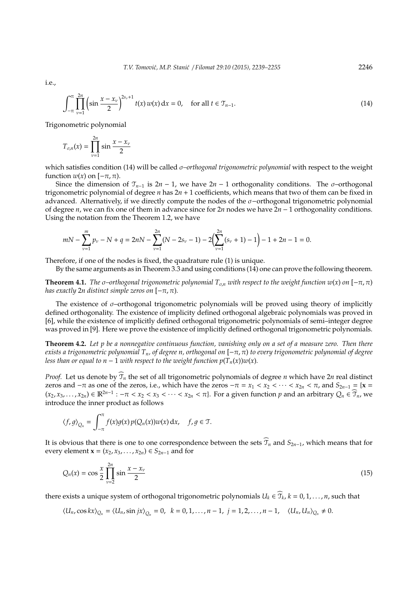i.e.,

$$
\int_{-\pi}^{\pi} \prod_{\nu=1}^{2n} \left( \sin \frac{x - x_{\nu}}{2} \right)^{2s_{\nu} + 1} t(x) w(x) dx = 0, \quad \text{for all } t \in \mathcal{T}_{n-1}.
$$
 (14)

Trigonometric polynomial

$$
T_{\sigma,n}(x) = \prod_{\nu=1}^{2n} \sin \frac{x - x_{\nu}}{2}
$$

which satisfies condition (14) will be called σ*–orthogonal trigonometric polynomial* with respect to the weight function  $w(x)$  on  $[-\pi, \pi)$ .

Since the dimension of  $\mathcal{T}_{n-1}$  is  $2n-1$ , we have  $2n-1$  orthogonality conditions. The  $\sigma$ –orthogonal trigonometric polynomial of degree *n* has 2*n* + 1 coefficients, which means that two of them can be fixed in advanced. Alternatively, if we directly compute the nodes of the σ−orthogonal trigonometric polynomial of degree *n*, we can fix one of them in advance since for 2*n* nodes we have 2*n* − 1 orthogonality conditions. Using the notation from the Theorem 1.2, we have

$$
mN - \sum_{\nu=1}^{m} p_{\nu} - N + q = 2nN - \sum_{\nu=1}^{2n} (N - 2s_{\nu} - 1) - 2\left(\sum_{\nu=1}^{2n} (s_{\nu} + 1) - 1\right) - 1 + 2n - 1 = 0.
$$

Therefore, if one of the nodes is fixed, the quadrature rule (1) is unique.

By the same arguments as in Theorem 3.3 and using conditions (14) one can prove the following theorem.

**Theorem 4.1.** *The*  $\sigma$ –orthogonal trigonometric polynomial  $T_{\sigma,n}$  with respect to the weight function w(x) on  $[-\pi, \pi)$ *has exactly* 2*n distinct simple zeros on* [−π, π)*.*

The existence of  $\sigma$ -orthogonal trigonometric polynomials will be proved using theory of implicitly defined orthogonality. The existence of implicity defined orthogonal algebraic polynomials was proved in [6], while the existence of implicitly defined orthogonal trigonometric polynomials of semi–integer degree was proved in [9]. Here we prove the existence of implicitly defined orthogonal trigonometric polynomials.

**Theorem 4.2.** *Let p be a nonnegative continuous function, vanishing only on a set of a measure zero. Then there exists a trigonometric polynomial Tn, of degree n, orthogonal on* [−π, π) *to every trigonometric polynomial of degree less than or equal to n* − 1 *with respect to the weight function*  $p(T_n(x))w(x)$ *.* 

*Proof.* Let us denote by  $\widehat{T}_n$  the set of all trigonometric polynomials of degree *n* which have 2*n* real distinct zeros and  $-\pi$  as one of the zeros, i.e., which have the zeros  $-\pi = x_1 < x_2 < \cdots < x_{2n} < \pi$ , and  $S_{2n-1} = \{x = x_1, x_2, \dots, x_{2n}\}$  $(x_2, x_3, \ldots, x_{2n}) \in \mathbb{R}^{2n-1} : -\pi < x_2 < x_3 < \cdots < x_{2n} < \pi$ . For a given function *p* and an arbitrary  $Q_n \in \widehat{\mathcal{T}}_n$ , we introduce the inner product as follows

$$
\langle f,g \rangle_{Q_n} = \int_{-\pi}^{\pi} f(x)g(x) p(Q_n(x))w(x) \, \mathrm{d}x, \quad f, g \in \mathfrak{T}.
$$

It is obvious that there is one to one correspondence between the sets  $\widehat{\mathcal{T}}_n$  and  $S_{2n-1}$ , which means that for every element **x** = ( $x_2, x_3, ..., x_{2n}$ ) ∈  $S_{2n-1}$  and for

$$
Q_n(x) = \cos\frac{x}{2}\prod_{\nu=2}^{2n}\sin\frac{x - x_{\nu}}{2}
$$
 (15)

there exists a unique system of orthogonal trigonometric polynomials  $U_k \in \widehat{T}_k$ ,  $k = 0, 1, ..., n$ , such that

$$
\langle U_n, \cos kx\rangle_{Q_n}=\langle U_n, \sin jx\rangle_{Q_n}=0, \ \ k=0,1,\ldots,n-1, \ j=1,2,\ldots,n-1, \quad \langle U_n, U_n\rangle_{Q_n}\neq 0.
$$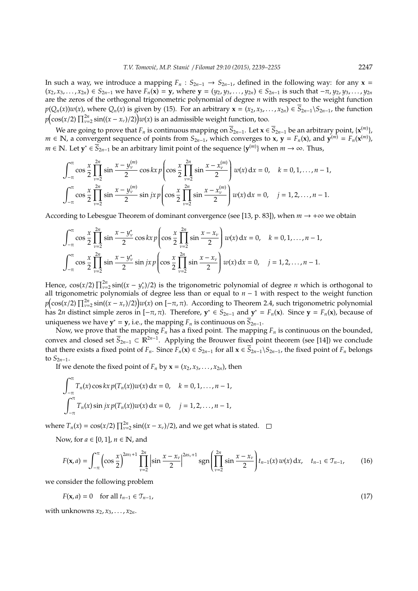In such a way, we introduce a mapping  $F_n$  :  $S_{2n-1}$   $\rightarrow$   $S_{2n-1}$ , defined in the following way: for any  $\mathbf{x}$  =  $(x_2, x_3,...,x_{2n}) \in S_{2n-1}$  we have  $F_n(x) = y$ , where  $y = (y_2, y_3,...,y_{2n}) \in S_{2n-1}$  is such that  $-\pi, y_2, y_3,...,y_{2n}$ are the zeros of the orthogonal trigonometric polynomial of degree *n* with respect to the weight function  $p(Q_n(x))w(x)$ , where  $Q_n(x)$  is given by (15). For an arbitrary  $\mathbf{x} = (x_2, x_3, ..., x_{2n}) \in S_{2n-1} \setminus S_{2n-1}$ , the function  $p\left(\cos(x/2)\prod_{\nu=2}^{2n}\sin((x-x_{\nu})/2)\right)w(x)$  is an admissible weight function, too.

We are going to prove that  $F_n$  is continuous mapping on  $\overline{S}_{2n-1}.$  Let  $\mathbf{x}\in\overline{S}_{2n-1}$  be an arbitrary point, { $\mathbf{x}^{(m)}$ }, *m* ∈ **N**, a convergent sequence of points from  $S_{2n-1}$ , which converges to **x**, **y** =  $F_n$ (**x**), and **y**<sup>(*m*)</sup>) =  $F_n$ (**x**<sup>(*m*)</sup>), *m* ∈ N. Let  $y^*$  ∈  $\overline{S}_{2n-1}$  be an arbitrary limit point of the sequence  $\{y^{(m)}\}$  when  $m \to \infty$ . Thus,

$$
\int_{-\pi}^{\pi} \cos \frac{x}{2} \prod_{\nu=2}^{2n} \sin \frac{x - y_{\nu}^{(m)}}{2} \cos kx \, p \left( \cos \frac{x}{2} \prod_{\nu=2}^{2n} \sin \frac{x - x_{\nu}^{(m)}}{2} \right) w(x) \, dx = 0, \quad k = 0, 1, \dots, n-1,
$$
\n
$$
\int_{-\pi}^{\pi} \cos \frac{x}{2} \prod_{\nu=2}^{2n} \sin \frac{x - y_{\nu}^{(m)}}{2} \sin jx \, p \left( \cos \frac{x}{2} \prod_{\nu=2}^{2n} \sin \frac{x - x_{\nu}^{(m)}}{2} \right) w(x) \, dx = 0, \quad j = 1, 2, \dots, n-1.
$$

According to Lebesgue Theorem of dominant convergence (see [13, p. 83]), when  $m \to +\infty$  we obtain

$$
\int_{-\pi}^{\pi} \cos \frac{x}{2} \prod_{\nu=2}^{2n} \sin \frac{x - y_{\nu}^{*}}{2} \cos kx \, p \left( \cos \frac{x}{2} \prod_{\nu=2}^{2n} \sin \frac{x - x_{\nu}}{2} \right) w(x) \, dx = 0, \quad k = 0, 1, \dots, n-1,
$$
  

$$
\int_{-\pi}^{\pi} \cos \frac{x}{2} \prod_{\nu=2}^{2n} \sin \frac{x - y_{\nu}^{*}}{2} \sin jx \, p \left( \cos \frac{x}{2} \prod_{\nu=2}^{2n} \sin \frac{x - x_{\nu}}{2} \right) w(x) \, dx = 0, \quad j = 1, 2, \dots, n-1.
$$

Hence,  $cos(x/2) \prod_{\nu=2}^{2n} sin((x - y_{\nu}^{*})/2)$  is the trigonometric polynomial of degree *n* which is orthogonal to all trigonometric polynomials of degree less than or equal to *n* − 1 with respect to the weight function  $p\bigl(\cos(x/2)\prod_{\nu=2}^{2n}\sin((x-x_{\nu})/2)\bigr)w(x)$  on [− $\pi,\pi$ ). According to Theorem 2.4, such trigonometric polynomial has 2*n* distinct simple zeros in  $[-\pi, \pi)$ . Therefore,  $y^* \in S_{2n-1}$  and  $y^* = F_n(x)$ . Since  $y = F_n(x)$ , because of uniqueness we have  $y^* = y$ , i.e., the mapping  $F_n$  is continuous on  $\overline{S}_{2n-1}$ .

Now, we prove that the mapping  $F_n$  has a fixed point. The mapping  $F_n$  is continuous on the bounded, convex and closed set  $\overline{S}_{2n-1} \subset \mathbb{R}^{2n-1}$ . Applying the Brouwer fixed point theorem (see [14]) we conclude that there exists a fixed point of *F<sub>n</sub>*. Since *F<sub>n</sub>*(**x**) ∈ *S*<sub>2*n*−1</sub> for all **x** ∈  $\overline{S}_{2n-1}\S_{2n-1}$ , the fixed point of *F<sub>n</sub>* belongs to  $S_{2n-1}$ .

If we denote the fixed point of  $F_n$  by  $\mathbf{x} = (x_2, x_3, \dots, x_{2n})$ , then

$$
\int_{-\pi}^{\pi} T_n(x) \cos kx \, p(T_n(x)) w(x) \, dx = 0, \quad k = 0, 1, \dots, n-1,
$$
  

$$
\int_{-\pi}^{\pi} T_n(x) \sin jx \, p(T_n(x)) w(x) \, dx = 0, \quad j = 1, 2, \dots, n-1,
$$

where  $T_n(x) = \cos(x/2) \prod_{\nu=2}^{2n} \sin((x - x_\nu)/2)$ , and we get what is stated.

Now, for *a* ∈ [0, 1], *n* ∈ **N**, and

$$
F(\mathbf{x}, a) = \int_{-\pi}^{\pi} \left( \cos \frac{x}{2} \right)^{2a_{5}+1} \prod_{\nu=2}^{2n} \left| \sin \frac{x - x_{\nu}}{2} \right|^{2a_{5}+1} \text{sgn} \left( \prod_{\nu=2}^{2n} \sin \frac{x - x_{\nu}}{2} \right) t_{n-1}(x) w(x) dx, \quad t_{n-1} \in \mathcal{T}_{n-1}, \tag{16}
$$

we consider the following problem

$$
F(\mathbf{x}, a) = 0 \quad \text{for all } t_{n-1} \in \mathcal{T}_{n-1},
$$
\n
$$
(17)
$$

with unknowns  $x_2, x_3, \ldots, x_{2n}$ .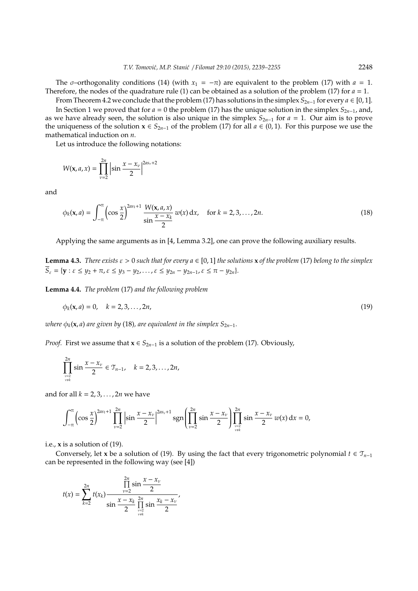The  $\sigma$ –orthogonality conditions (14) (with  $x_1 = -\pi$ ) are equivalent to the problem (17) with  $a = 1$ . Therefore, the nodes of the quadrature rule (1) can be obtained as a solution of the problem (17) for *a* = 1.

From Theorem 4.2 we conclude that the problem (17) has solutions in the simplex  $S_{2n-1}$  for every  $a \in [0,1]$ . In Section 1 we proved that for  $a = 0$  the problem (17) has the unique solution in the simplex  $S_{2n-1}$ , and, as we have already seen, the solution is also unique in the simplex  $S_{2n-1}$  for  $a = 1$ . Our aim is to prove the uniqueness of the solution  $x \in S_{2n-1}$  of the problem (17) for all *a* ∈ (0, 1). For this purpose we use the mathematical induction on *n*.

Let us introduce the following notations:

$$
W(\mathbf{x}, a, x) = \prod_{\nu=2}^{2n} \left| \sin \frac{x - x_{\nu}}{2} \right|^{2a_{\nu} + 2}
$$

and

$$
\phi_k(\mathbf{x}, a) = \int_{-\pi}^{\pi} \left( \cos \frac{x}{2} \right)^{2as_1 + 1} \frac{W(\mathbf{x}, a, x)}{\sin \frac{x - x_k}{2}} w(x) dx, \quad \text{for } k = 2, 3, ..., 2n.
$$
 (18)

Applying the same arguments as in [4, Lemma 3.2], one can prove the following auxiliary results.

**Lemma 4.3.** *There exists*  $\varepsilon > 0$  *such that for every*  $a \in [0, 1]$  *the solutions* **x** *of the problem* (17) *belong to the simplex*  $\overline{S}_{\varepsilon} = \{ \mathbf{y} : \varepsilon \leq y_2 + \pi, \varepsilon \leq y_3 - y_2, \ldots, \varepsilon \leq y_{2n} - y_{2n-1}, \varepsilon \leq \pi - y_{2n} \}.$ 

**Lemma 4.4.** *The problem* (17) *and the following problem*

$$
\phi_k(\mathbf{x}, a) = 0, \quad k = 2, 3, \dots, 2n,
$$
\n(19)

*where*  $\phi_k(\mathbf{x}, a)$  *are* given by (18), *are equivalent in the simplex*  $S_{2n-1}$ *.* 

*Proof.* First we assume that  $x \in S_{2n-1}$  is a solution of the problem (17). Obviously,

$$
\prod_{\nu=2 \atop \nu \neq k}^{2n} \sin \frac{x - x_{\nu}}{2} \in \mathcal{T}_{n-1}, \quad k = 2, 3, ..., 2n,
$$

and for all *k* = 2, 3, . . . , 2*n* we have

$$
\int_{-\pi}^{\pi} \left( \cos \frac{x}{2} \right)^{2as_1+1} \prod_{\nu=2}^{2n} \left| \sin \frac{x - x_{\nu}}{2} \right|^{2as_{\nu}+1} \text{sgn} \left( \prod_{\nu=2}^{2n} \sin \frac{x - x_{\nu}}{2} \right) \prod_{\nu=2}^{2n} \sin \frac{x - x_{\nu}}{2} w(x) dx = 0,
$$

i.e., **x** is a solution of (19).

Conversely, let **x** be a solution of (19). By using the fact that every trigonometric polynomial  $t \in \mathcal{T}_{n-1}$ can be represented in the following way (see [4])

$$
t(x) = \sum_{k=2}^{2n} t(x_k) \frac{\prod_{\nu=2}^{2n} \sin \frac{x - x_{\nu}}{2}}{\sin \frac{x - x_k}{2} \prod_{\nu=2}^{2n} \sin \frac{x_k - x_{\nu}}{2}},
$$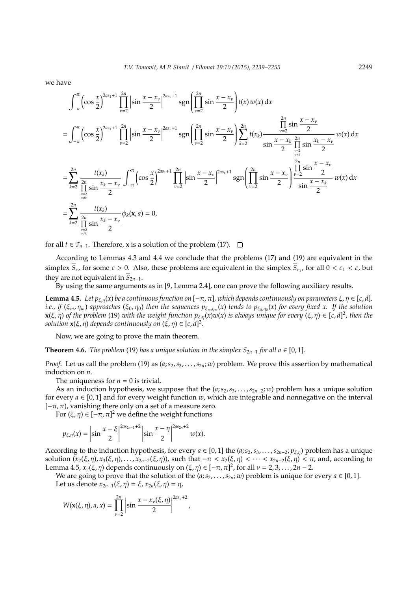we have

$$
\int_{-\pi}^{\pi} \left( \cos \frac{x}{2} \right)^{2as_1 + 1} \prod_{\nu=2}^{2n} \left| \sin \frac{x - x_{\nu}}{2} \right|^{2as_{\nu} + 1} \operatorname{sgn} \left( \prod_{\nu=2}^{2n} \sin \frac{x - x_{\nu}}{2} \right) t(x) w(x) dx
$$
\n
$$
= \int_{-\pi}^{\pi} \left( \cos \frac{x}{2} \right)^{2as_1 + 1} \prod_{\nu=2}^{2n} \left| \sin \frac{x - x_{\nu}}{2} \right|^{2as_{\nu} + 1} \operatorname{sgn} \left( \prod_{\nu=2}^{2n} \sin \frac{x - x_{\nu}}{2} \right) \prod_{k=2}^{2n} t(x_k) \frac{\prod_{\nu=2}^{2n} \sin \frac{x - x_{\nu}}{2}}{\sin \frac{x - x_{k}}{2}} \frac{\prod_{\nu=2}^{2n} \sin \frac{x - x_{\nu}}{2}}{\sin \frac{x - x_{k}}{2}} w(x) dx
$$
\n
$$
= \sum_{k=2}^{2n} \frac{t(x_k)}{\prod_{\nu=2}^{2n} \sin \frac{x_k - x_{\nu}}{2}} \int_{-\pi}^{\pi} \left( \cos \frac{x}{2} \right)^{2as_1 + 1} \prod_{\nu=2}^{2n} \left| \sin \frac{x - x_{\nu}}{2} \right|^{2as_{\nu} + 1} \operatorname{sgn} \left( \prod_{\nu=2}^{2n} \sin \frac{x - x_{\nu}}{2} \right) \prod_{\nu=2}^{2n} \frac{\sin \frac{x - x_{\nu}}{2}}{\sin \frac{x - x_{\nu}}{2}} w(x) dx
$$
\n
$$
= \sum_{k=2}^{2n} \frac{t(x_k)}{\prod_{\nu=2}^{2n} \sin \frac{x_k - x_{\nu}}{2}} \phi_k(x, a) = 0,
$$

for all *t* ∈  $\mathcal{T}_{n-1}$ . Therefore, **x** is a solution of the problem (17).  $\Box$ 

According to Lemmas 4.3 and 4.4 we conclude that the problems (17) and (19) are equivalent in the simplex  $S_{\varepsilon}$ , for some  $\varepsilon > 0$ . Also, these problems are equivalent in the simplex  $S_{\varepsilon_1}$ , for all  $0 < \varepsilon_1 < \varepsilon$ , but they are not equivalent in  $S_{2n-1}$ .

By using the same arguments as in [9, Lemma 2.4], one can prove the following auxiliary results.

**Lemma 4.5.** *Let*  $p_{\xi,\eta}(x)$  *be a continuous function on*  $[-\pi,\pi]$ *, which depends continuously on parameters*  $\xi,\eta \in [c,d]$ *. i.e., if* (ξ*m*, η*m*) *approaches* (ξ0, η0) *then the sequences p*<sup>ξ</sup>*m*,η*<sup>m</sup>* (*x*) *tends to p*<sup>ξ</sup>0,η<sup>0</sup> (*x*) *for every fixed x. If the solution*  $x(\xi,\eta)$  of the problem (19) with the weight function  $p_{\xi,\eta}(x)w(x)$  is always unique for every  $(\xi,\eta) \in [c,d]^2$ , then the *solution*  $\mathbf{x}(\xi, \eta)$  *depends continuously on*  $(\xi, \eta) \in [c, d]^2$ *.* 

Now, we are going to prove the main theorem.

**Theorem 4.6.** *The problem* (19) *has a unique solution in the simplex*  $S_{2n-1}$  *for all a* ∈ [0, 1]*.* 

*Proof.* Let us call the problem (19) as  $(a; s_2, s_3, \ldots, s_{2n}; w)$  problem. We prove this assertion by mathematical induction on *n*.

The uniqueness for  $n = 0$  is trivial.

As an induction hypothesis, we suppose that the  $(a; s_2, s_3, \ldots, s_{2n-2}; w)$  problem has a unique solution for every  $a \in [0,1]$  and for every weight function *w*, which are integrable and nonnegative on the interval  $[-\pi, \pi)$ , vanishing there only on a set of a measure zero.

For  $(\xi, \eta) \in [-\pi, \pi]^2$  we define the weight functions

$$
p_{\xi,\eta}(x) = \left|\sin \frac{x-\xi}{2}\right|^{2as_{2n-1}+2} \left|\sin \frac{x-\eta}{2}\right|^{2as_{2n}+2} w(x).
$$

According to the induction hypothesis, for every  $a \in [0,1]$  the  $(a; s_2, s_3, \ldots, s_{2n-2}; p_{\xi,\eta})$  problem has a unique solution  $(x_2(ξ, η), x_3(ξ, η), …, x_{2n-2}(ξ, η)$ , such that  $-π < x_2(ξ, η) < … < x_{2n-2}(ξ, η) < π$ , and, according to Lemma 4.5,  $x_\nu(\xi, \eta)$  depends continuously on  $(\xi, \eta) \in [-\pi, \pi]^2$ , for all  $\nu = 2, 3, ..., 2n - 2$ .

We are going to prove that the solution of the  $(a; s_2, \ldots, s_{2n}; w)$  problem is unique for every  $a \in [0, 1]$ . Let us denote  $x_{2n-1}(\xi, \eta) = \xi$ ,  $x_{2n}(\xi, \eta) = \eta$ ,

$$
W(\mathbf{x}(\xi,\eta),a,x)=\prod_{\nu=2}^{2n}\left|\sin\frac{x-x_{\nu}(\xi,\eta)}{2}\right|^{2as_{\nu}+2},
$$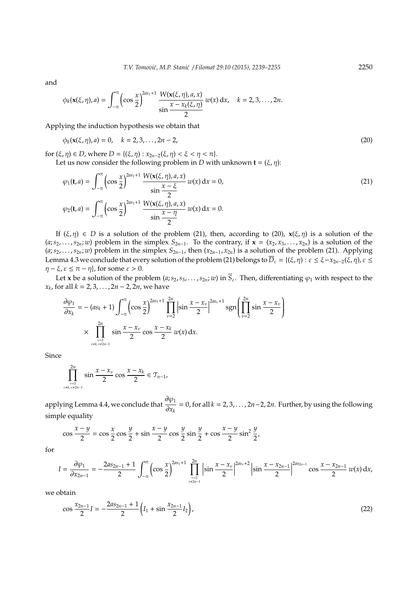and

$$
\phi_k(\mathbf{x}(\xi,\eta),a) = \int_{-\pi}^{\pi} \left( \cos \frac{x}{2} \right)^{2as_1+1} \frac{W(\mathbf{x}(\xi,\eta),a,x)}{\sin \frac{x-x_k(\xi,\eta)}{2}} w(x) \, \mathrm{d}x, \quad k = 2,3,\ldots,2n.
$$

Applying the induction hypothesis we obtain that

$$
\phi_k(\mathbf{x}(\xi,\eta),a) = 0, \quad k = 2,3,\dots,2n-2,
$$
\n(20)

for  $(\xi, \eta) \in D$ , where  $D = \{(\xi, \eta) : x_{2n-2}(\xi, \eta) < \xi < \eta < \pi\}.$ Let us now consider the following problem in *D* with unknown  $\mathbf{t} = (\xi, \eta)$ :

$$
\varphi_1(\mathbf{t}, a) = \int_{-\pi}^{\pi} \left( \cos \frac{x}{2} \right)^{2as_1 + 1} \frac{W(\mathbf{x}(\xi, \eta), a, x)}{\sin \frac{x - \xi}{2}} w(x) dx = 0,
$$
\n
$$
\varphi_2(\mathbf{t}, a) = \int_{-\pi}^{\pi} \left( \cos \frac{x}{2} \right)^{2as_1 + 1} \frac{W(\mathbf{x}(\xi, \eta), a, x)}{\sin \frac{x - \eta}{2}} w(x) dx = 0.
$$
\n(21)

If  $(\xi, \eta) \in D$  is a solution of the problem (21), then, according to (20),  $\mathbf{x}(\xi, \eta)$  is a solution of the  $(a; s_2, \ldots, s_{2n}; w)$  problem in the simplex  $S_{2n-1}$ . To the contrary, if  $\mathbf{x} = (x_2, x_3, \ldots, x_{2n})$  is a solution of the  $(a; s_2, \ldots, s_{2n}; w)$  problem in the simplex  $S_{2n-1}$ , then  $(x_{2n-1}, x_{2n})$  is a solution of the problem (21). Applying Lemma 4.3 we conclude that every solution of the problem (21) belongs to  $\overline{D}_{\varepsilon} = \{(\xi, \eta) : \varepsilon \leq \xi - x_{2n-2}(\xi, \eta), \varepsilon \leq \xi - x_{2n-1}(\xi, \eta) \}$  $\eta - \xi$ ,  $\varepsilon \leq \pi - \eta$ , for some  $\varepsilon > 0$ .

Let **x** be a solution of the problem  $(a; s_2, s_3, \ldots, s_{2n}; w)$  in  $\overline{S}_{\varepsilon}$ . Then, differentiating  $\varphi_1$  with respect to the *x*<sub>*k*</sub>, for all *k* = 2, 3, . . . , 2*n* − 2, 2*n*, we have

$$
\frac{\partial \varphi_1}{\partial x_k} = - (as_k + 1) \int_{-\pi}^{\pi} \left( \cos \frac{x}{2} \right)^{2as_1 + 1} \prod_{\nu=2}^{2n} \left| \sin \frac{x - x_{\nu}}{2} \right|^{2as_{\nu} + 1} \text{sgn} \left( \prod_{\nu=2}^{2n} \sin \frac{x - x_{\nu}}{2} \right)
$$

$$
\times \prod_{\nu \neq \nu, \nu \neq 2n-1 \atop \nu \neq k, \nu \neq 2n-1} \sin \frac{x - x_{\nu}}{2} \cos \frac{x - x_k}{2} w(x) dx.
$$

Since

$$
\prod_{\nu=2 \atop \nu \neq k, \nu \neq 2n-1}^{2n} \sin \frac{x - x_{\nu}}{2} \cos \frac{x - x_k}{2} \in \mathcal{T}_{n-1},
$$

applying Lemma 4.4, we conclude that  $\frac{\partial \varphi_1}{\partial x}$  $\frac{\partial \psi_1}{\partial x_k} = 0$ , for all *k* = 2, 3, . . . , 2*n*−2, 2*n*. Further, by using the following simple equality

$$
\cos\frac{x-y}{2} = \cos\frac{x}{2}\cos\frac{y}{2} + \sin\frac{x-y}{2}\cos\frac{y}{2}\sin\frac{y}{2} + \cos\frac{x-y}{2}\sin^2\frac{y}{2},
$$

for

$$
I = \frac{\partial \varphi_1}{\partial x_{2n-1}} = -\frac{2as_{2n-1}+1}{2} \int_{-\pi}^{\pi} \left( \cos \frac{x}{2} \right)^{2as_1+1} \prod_{\substack{\nu=2 \\ \nu \neq 2n-1}}^{2n} \left| \sin \frac{x - x_{\nu}}{2} \right|^{2as_{\nu}+2} \left| \sin \frac{x - x_{2n-1}}{2} \right|^{2as_{2n-1}} \cos \frac{x - x_{2n-1}}{2} w(x) dx,
$$

we obtain

$$
\cos\frac{x_{2n-1}}{2}I = -\frac{2as_{2n-1}+1}{2}\left(I_1 + \sin\frac{x_{2n-1}}{2}I_2\right),\tag{22}
$$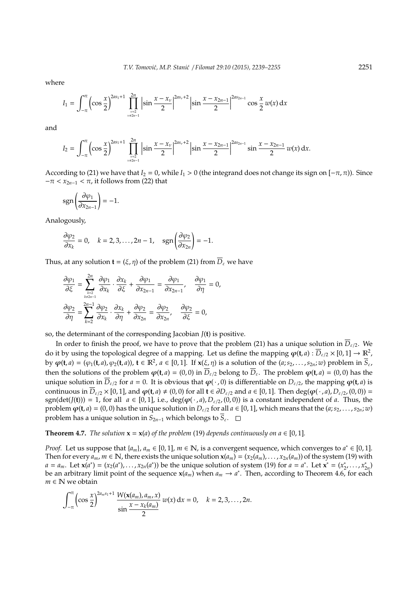where

$$
I_1 = \int_{-\pi}^{\pi} \left( \cos \frac{x}{2} \right)^{2as_1+1} \prod_{\substack{\nu=2 \ \nu \neq 2n-1}}^{2n} \left| \sin \frac{x - x_{\nu}}{2} \right|^{2as_{\nu}+2} \left| \sin \frac{x - x_{2n-1}}{2} \right|^{2as_{2n-1}} \cos \frac{x}{2} \, w(x) \, dx
$$

and

$$
I_2 = \int_{-\pi}^{\pi} \left( \cos \frac{x}{2} \right)^{2a_{5_1}+1} \prod_{\substack{\nu=2 \\ \nu \neq 2n-1}}^{2n} \left| \sin \frac{x - x_{\nu}}{2} \right|^{2a_{5_{\nu}}+2} \left| \sin \frac{x - x_{2n-1}}{2} \right|^{2a_{5_{2n-1}}} \sin \frac{x - x_{2n-1}}{2} w(x) dx.
$$

According to (21) we have that  $I_2 = 0$ , while  $I_1 > 0$  (the integrand does not change its sign on  $[-\pi, \pi]$ ). Since  $-\pi < x_{2n-1} < \pi$ , it follows from (22) that

$$
\operatorname{sgn}\left(\frac{\partial \varphi_1}{\partial x_{2n-1}}\right) = -1.
$$

Analogously,

$$
\frac{\partial \varphi_2}{\partial x_k} = 0, \quad k = 2, 3, \dots, 2n - 1, \quad \text{sgn}\left(\frac{\partial \varphi_2}{\partial x_{2n}}\right) = -1.
$$

Thus, at any solution  $\mathbf{t} = (\xi, \eta)$  of the problem (21) from  $\overline{D}_{\varepsilon}$  we have

$$
\frac{\partial \varphi_1}{\partial \xi} = \sum_{k=2 \atop k \neq 2n-1}^{2n} \frac{\partial \varphi_1}{\partial x_k} \cdot \frac{\partial x_k}{\partial \xi} + \frac{\partial \varphi_1}{\partial x_{2n-1}} = \frac{\partial \varphi_1}{\partial x_{2n-1}}, \quad \frac{\partial \varphi_1}{\partial \eta} = 0,
$$
  

$$
\frac{\partial \varphi_2}{\partial \eta} = \sum_{k=2}^{2n-1} \frac{\partial \varphi_2}{\partial x_k} \cdot \frac{\partial x_k}{\partial \eta} + \frac{\partial \varphi_2}{\partial x_{2n}} = \frac{\partial \varphi_2}{\partial x_{2n}}, \quad \frac{\partial \varphi_2}{\partial \xi} = 0,
$$

so, the determinant of the corresponding Jacobian *J*(**t**) is positive.

In order to finish the proof, we have to prove that the problem (21) has a unique solution in  $\overline{D}_{\varepsilon/2}$ . We do it by using the topological degree of a mapping. Let us define the mapping  $\varphi(\mathsf{t},a): \overline{D}_{\varepsilon/2}\times [0,1] \to \mathbb{R}^2$ , by  $\varphi(\mathbf{t},a)=(\varphi_1(\mathbf{t},a),\varphi_2(\mathbf{t},a))$ ,  $\mathbf{t}\in\mathbb{R}^2$ ,  $a\in[0,1]$ . If  $\mathbf{x}(\xi,\eta)$  is a solution of the  $(a;s_2,\ldots,s_{2n};w)$  problem in  $\overline{S}_{\varepsilon}$ , then the solutions of the problem  $\varphi(t, a) = (0, 0)$  in  $\overline{D}_{\varepsilon/2}$  belong to  $\overline{D}_{\varepsilon}$ . The problem  $\varphi(t, a) = (0, 0)$  has the unique solution in  $\overline{D}_{\varepsilon/2}$  for  $a = 0$ . It is obvious that  $\varphi(\cdot, 0)$  is differentiable on  $D_{\varepsilon/2}$ , the mapping  $\varphi(\mathbf{t}, a)$  is continuous in  $\overline{D}_{\varepsilon/2} \times [0,1]$ , and  $\varphi(t, a) \neq (0, 0)$  for all  $t \in \partial D_{\varepsilon/2}$  and  $a \in [0, 1]$ . Then deg( $\varphi(\cdot, a)$ ,  $D_{\varepsilon/2}$ ,  $(0, 0)$ ) = sgn(det( $J(t)$ )) = 1, for all  $a \in [0,1]$ , i.e., deg( $\varphi(\cdot, a)$ ,  $D_{\varepsilon/2}$ , (0,0)) is a constant independent of *a*. Thus, the problem  $\varphi$ (**t**, *a*) = (0, 0) has the unique solution in  $D_{\varepsilon/2}$  for all  $a \in [0,1]$ , which means that the (*a*; *s*<sub>2</sub>, . . . , *s*<sub>2*n*</sub>; *w*) problem has a unique solution in  $S_{2n-1}$  which belongs to  $\overline{S}_{\varepsilon}$ .  $\square$ 

**Theorem 4.7.** *The solution*  $\mathbf{x} = \mathbf{x}(a)$  *of the problem* (19) *depends continuously on*  $a \in [0, 1]$ *.* 

*Proof.* Let us suppose that  $\{a_m\}$ ,  $a_m \in [0, 1]$ ,  $m \in \mathbb{N}$ , is a convergent sequence, which converges to  $a^* \in [0, 1]$ . Then for every  $a_m$ ,  $m \in \mathbb{N}$ , there exists the unique solution  $\mathbf{x}(a_m) = (x_2(a_m), \dots, x_{2n}(a_m))$  of the system (19) with  $a = a_m$ . Let  $\mathbf{x}(a^*) = (x_2(a^*), \dots, x_{2n}(a^*))$  be the unique solution of system (19) for  $a = a^*$ . Let  $\mathbf{x}^* = (x_2^*)$ ∗`<br>2'.<sup>..</sup>., *x*<sub>2</sub>  $\binom{2n}{2}$ be an arbitrary limit point of the sequence  $x(a_m)$  when  $a_m \to a^*$ . Then, according to Theorem 4.6, for each *m* ∈ **N** we obtain

$$
\int_{-\pi}^{\pi} \left( \cos \frac{x}{2} \right)^{2a_m s_1 + 1} \frac{W(\mathbf{x}(a_m), a_m, x)}{\sin \frac{x - x_k(a_m)}{2}} w(x) dx = 0, \quad k = 2, 3, ..., 2n.
$$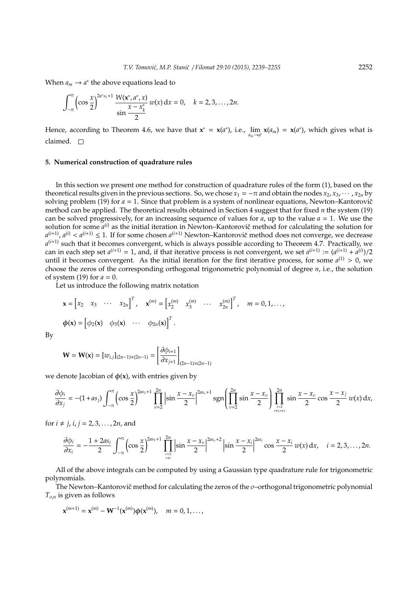When  $a_m \to a^*$  the above equations lead to

$$
\int_{-\pi}^{\pi} \left( \cos \frac{x}{2} \right)^{2a^{*} s_{1}+1} \frac{W(x^{*}, a^{*}, x)}{\sin \frac{x-x_{k}^{*}}{2}} w(x) dx = 0, \quad k = 2, 3, ..., 2n.
$$

Hence, according to Theorem 4.6, we have that  $x^* = x(a^*)$ , i.e.,  $\lim_{a_m \to a^*} x(a_m) = x(a^*)$ , which gives what is claimed.  $\square$ 

#### **5. Numerical construction of quadrature rules**

In this section we present one method for construction of quadrature rules of the form (1), based on the theoretical results given in the previous sections. So, we chose  $x_1 = -\pi$  and obtain the nodes  $x_2, x_3, \dots, x_{2n}$  by solving problem (19) for  $a = 1$ . Since that problem is a system of nonlinear equations, Newton–Kantorovič method can be applied. The theoretical results obtained in Section 4 suggest that for fixed *n* the system (19) can be solved progressively, for an increasing sequence of values for  $a$ , up to the value  $a = 1$ . We use the solution for some  $a^{(i)}$  as the initial iteration in Newton–Kantorovič method for calculating the solution for  $a^{(i+1)}$ ,  $a^{(i)} < a^{(i+1)} \leq 1$ . If for some chosen  $a^{(i+1)}$  Newton–Kantorovič method does not converge, we decrease *a* (*i*+1) such that it becomes convergent, which is always possible according to Theorem 4.7. Practically, we can in each step set  $a^{(i+1)} = 1$ , and, if that iterative process is not convergent, we set  $a^{(i+1)} := (a^{(i+1)} + a^{(i)})/2$ until it becomes convergent. As the initial iteration for the first iterative process, for some  $a^{(1)} > 0$ , we choose the zeros of the corresponding orthogonal trigonometric polynomial of degree *n*, i.e., the solution of system (19) for  $a = 0$ .

Let us introduce the following matrix notation

$$
\mathbf{x} = \begin{bmatrix} x_2 & x_3 & \cdots & x_{2n} \end{bmatrix}^T, \quad \mathbf{x}^{(m)} = \begin{bmatrix} x_2^{(m)} & x_3^{(m)} & \cdots & x_{2n}^{(m)} \end{bmatrix}^T, \quad m = 0, 1, \dots,
$$
  

$$
\boldsymbol{\phi}(\mathbf{x}) = \begin{bmatrix} \phi_2(\mathbf{x}) & \phi_3(\mathbf{x}) & \cdots & \phi_{2n}(\mathbf{x}) \end{bmatrix}^T.
$$

By

$$
\mathbf{W} = \mathbf{W}(\mathbf{x}) = [w_{i,j}]_{(2n-1)\times(2n-1)} = \left[\frac{\partial \phi_{i+1}}{\partial x_{j+1}}\right]_{(2n-1)\times(2n-1)}
$$

we denote Jacobian of  $\phi(x)$ , with entries given by

$$
\frac{\partial \phi_i}{\partial x_j} = -(1 + as_j) \int_{-\pi}^{\pi} \left( \cos \frac{x}{2} \right)^{2as_1 + 1} \prod_{\nu=2}^{2n} \left| \sin \frac{x - x_{\nu}}{2} \right|^{2as_{\nu} + 1} \text{sgn} \left( \prod_{\nu=2}^{2n} \sin \frac{x - x_{\nu}}{2} \right) \prod_{\nu=2 \atop \nu \neq i, \nu \neq j}^{2n} \sin \frac{x - x_{\nu}}{2} \cos \frac{x - x_{j}}{2} w(x) dx,
$$

for  $i \neq j$ ,  $i, j = 2, 3, ..., 2n$ , and

$$
\frac{\partial \phi_i}{\partial x_i} = -\frac{1 + 2as_i}{2} \int_{-\pi}^{\pi} \left( \cos \frac{x}{2} \right)^{2as_1 + 1} \prod_{\substack{\nu=2 \\ \nu \neq i}}^{2n} \left| \sin \frac{x - x_{\nu}}{2} \right|^{2as_{\nu} + 2} \left| \sin \frac{x - x_{i}}{2} \right|^{2as_i} \cos \frac{x - x_{i}}{2} w(x) dx, \quad i = 2, 3, \dots, 2n.
$$

All of the above integrals can be computed by using a Gaussian type quadrature rule for trigonometric polynomials.

The Newton–Kantorovič method for calculating the zeros of the  $\sigma$ –orthogonal trigonometric polynomial  $T_{\sigma,n}$  is given as follows

$$
\mathbf{x}^{(m+1)} = \mathbf{x}^{(m)} - \mathbf{W}^{-1}(\mathbf{x}^{(m)})\phi(\mathbf{x}^{(m)}), \quad m = 0, 1, ...,
$$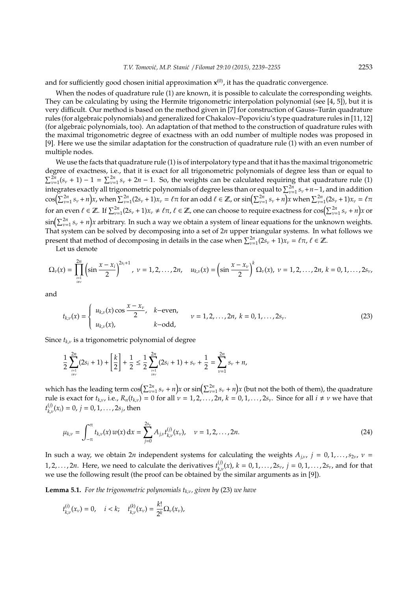and for sufficiently good chosen initial approximation **x**<sup>(0)</sup>, it has the quadratic convergence.

When the nodes of quadrature rule (1) are known, it is possible to calculate the corresponding weights. They can be calculating by using the Hermite trigonometric interpolation polynomial (see [4, 5]), but it is very difficult. Our method is based on the method given in [7] for construction of Gauss–Turan quadrature ´ rules (for algebraic polynomials) and generalized for Chakalov–Popoviciu's type quadrature rules in [11, 12] (for algebraic polynomials, too). An adaptation of that method to the construction of quadrature rules with the maximal trigonometric degree of exactness with an odd number of multiple nodes was proposed in [9]. Here we use the similar adaptation for the construction of quadrature rule (1) with an even number of multiple nodes.

We use the facts that quadrature rule (1) is of interpolatory type and that it has the maximal trigonometric degree of exactness, i.e., that it is exact for all trigonometric polynomials of degree less than or equal to  $\sum_{\nu=1}^{2n} (s_{\nu} + 1) - 1 = \sum_{\nu=1}^{2n} s_{\nu} + 2n - 1$ . So, the weights can be calculated requiring that quadrature rule (1)  $\sum_{y=1}^{y=1} (s_y + 1) - 1 - \sum_{y=1}^{y=1} s_y + 2n - 1$ . So, the weights can be calculated requiring that quadrature rule (1) integrates exactly all trigonometric polynomials of degree less than or equal to  $\sum_{y=1}^{y=1} s_y + n - 1$ ,  $\cos\left(\sum_{\nu=1}^{2n} s_{\nu} + n\right)x$ , when  $\sum_{\nu=1}^{2n} (2s_{\nu} + 1)x_{\nu} = \ell \pi$  for an odd  $\ell \in \mathbb{Z}$ , or  $\sin\left(\sum_{\nu=1}^{2n} s_{\nu} + n\right)x$  when  $\sum_{\nu=1}^{2n} (2s_{\nu} + 1)x_{\nu} = \ell \pi$ for an even  $\ell \in \mathbb{Z}$ . If  $\sum_{\nu=1}^{2n} (2s_{\nu} + 1)x_{\nu} \neq \ell \pi$ ,  $\ell \in \mathbb{Z}$ , one can choose to require exactness for  $\cos\left(\sum_{\nu=1}^{2n} s_{\nu} + n\right)x$  or  $\sin\left(\sum_{\nu=1}^{2n} s_\nu + n\right)$ x arbitrary. In such a way we obtain a system of linear equations for the unknown weights. That system can be solved by decomposing into a set of 2*n* upper triangular systems. In what follows we present that method of decomposing in details in the case when  $\sum_{\nu=1}^{2n} (2s_{\nu} + 1)x_{\nu} = \ell \pi$ ,  $\ell \in \mathbb{Z}$ .

Let us denote

$$
\Omega_{\nu}(x) = \prod_{\substack{i=1\\i\neq\nu}}^{2n} \left( \sin \frac{x - x_i}{2} \right)^{2s_i+1}, \ \nu = 1, 2, \ldots, 2n, \quad u_{k,\nu}(x) = \left( \sin \frac{x - x_{\nu}}{2} \right)^{k} \Omega_{\nu}(x), \ \nu = 1, 2, \ldots, 2n, \ k = 0, 1, \ldots, 2s_{\nu},
$$

and

$$
t_{k,\nu}(x) = \begin{cases} u_{k,\nu}(x) \cos \frac{x - x_{\nu}}{2}, & k-\text{even}, \\ u_{k,\nu}(x), & k-\text{odd}, \end{cases} \qquad \nu = 1, 2, ..., 2n, \ k = 0, 1, ..., 2s_{\nu}.
$$
 (23)

Since  $t_{k,\nu}$  is a trigonometric polynomial of degree

$$
\frac{1}{2}\sum_{\stackrel{i=1}{i\neq v}}^{2n} (2s_i+1)+\left[\frac{k}{2}\right]+\frac{1}{2}\leq \frac{1}{2}\sum_{\stackrel{i=1}{i\neq v}}^{2n} (2s_i+1)+s_v+\frac{1}{2}=\sum_{\nu=1}^{2n} s_{\nu}+n,
$$

which has the leading term  $\cos(\sum_{\nu=1}^{2n} s_\nu + n)x$  or  $\sin(\sum_{\nu=1}^{2n} s_\nu + n)x$  (but not the both of them), the quadrature rule is exact for  $t_{k,v}$ , i.e.,  $R_n(t_{k,v}) = 0$  for all  $v = 1, 2, ..., 2n$ ,  $k = 0, 1, ..., 2s_v$ . Since for all  $i \neq v$  we have that  $t_{k_{1}}^{(j)}$  $\chi_{k,\nu}^{(j)}(x_i) = 0, j = 0, 1, \ldots, 2s_j$ , then

$$
\mu_{k,\nu} = \int_{-\pi}^{\pi} t_{k,\nu}(x) w(x) dx = \sum_{j=0}^{2s_{\nu}} A_{j,\nu} t_{k,\nu}^{(j)}(x_{\nu}), \quad \nu = 1, 2, ..., 2n.
$$
 (24)

In such a way, we obtain 2*n* independent systems for calculating the weights  $A_{j,\nu}$ ,  $j = 0, 1, \ldots, s_{2\nu}$ ,  $\nu =$ 1, 2, . . . , 2*n*. Here, we need to calculate the derivatives  $t_{k_1}^{(j)}$  $\chi_{k,\nu}^{(j)}(x)$ ,  $k = 0, 1, ..., 2s_{\nu}$ ,  $j = 0, 1, ..., 2s_{\nu}$ , and for that we use the following result (the proof can be obtained by the similar arguments as in [9]).

**Lemma 5.1.** *For the trigonometric polynomials*  $t_{k,v}$ *, given by* (23) *we have* 

$$
t_{k,\nu}^{(i)}(x_{\nu})=0, \quad i < k; \quad t_{k,\nu}^{(k)}(x_{\nu})=\frac{k!}{2^k}\Omega_{\nu}(x_{\nu}),
$$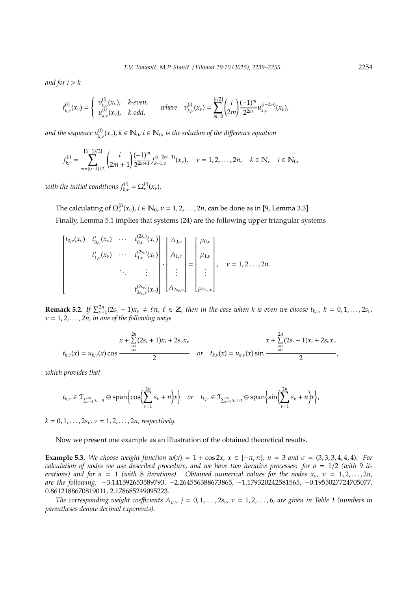*and for*  $i > k$ 

$$
t_{k,\nu}^{(i)}(x_{\nu}) = \begin{cases} v_{k,\nu}^{(i)}(x_{\nu}), & k\text{-even}, \\ u_{k,\nu}^{(i)}(x_{\nu}), & k\text{-odd}, \end{cases} \quad \text{where} \quad v_{k,\nu}^{(i)}(x_{\nu}) = \sum_{m=0}^{[i/2]} \left(\frac{i}{2m}\right) \frac{(-1)^m}{2^{2m}} u_{k,\nu}^{(i-2m)}(x_{\nu}),
$$

and the sequence  $u_{k,\nu}^{(i)}(x_\nu),$   $k\in\mathbb{N}_0$ ,  $i\in\mathbb{N}_0$ , is the solution of the difference equation

$$
f_{k,\nu}^{(i)} = \sum_{m = [(i-k)/2]}^{[(i-1)/2]} \binom{i}{2m+1} \frac{(-1)^m}{2^{2m+1}} f_{k-1,\nu}^{(i-2m-1)}(x_{\nu}), \quad \nu = 1, 2, \dots, 2n, \quad k \in \mathbb{N}, \quad i \in \mathbb{N}_0,
$$

*with the initial conditions*  $f_{0,\nu}^{(i)} = \Omega_{\nu}^{(i)}(x_{\nu})$ *.* 

The calculating of  $\Omega_{\nu}^{(i)}(x_{\nu})$ ,  $i \in \mathbb{N}_0$ ,  $\nu = 1, 2, ..., 2n$ , can be done as in [9, Lemma 3.3]. Finally, Lemma 5.1 implies that systems (24) are the following upper triangular systems

$$
\begin{bmatrix} t_{0,\nu}(x_{\nu}) & t'_{0,\nu}(x_{\nu}) & \cdots & t_{0,\nu}^{(2s_{\nu})}(x_{\nu}) \\ t'_{1,\nu}(x_{\nu}) & \cdots & t_{1,\nu}^{(2s_{\nu})}(x_{\nu}) \\ \vdots & \vdots & \vdots \\ t_{2s_{\nu},\nu}^{(2s_{\nu})}(x_{\nu}) \end{bmatrix} \cdot \begin{bmatrix} A_{0,\nu} \\ A_{1,\nu} \\ \vdots \\ A_{2s_{\nu},\nu} \end{bmatrix} = \begin{bmatrix} \mu_{0,\nu} \\ \mu_{1,\nu} \\ \vdots \\ \mu_{2s_{\nu},\nu} \end{bmatrix}, \quad \nu = 1, 2 \ldots, 2n.
$$

**Remark 5.2.** If  $\sum_{\nu=1}^{2n} (2s_{\nu} + 1)x_{\nu} \neq \ell \pi$ ,  $\ell \in \mathbb{Z}$ , then in the case when k is even we choose  $t_{k,\nu}$ ,  $k = 0, 1, \ldots, 2s_{\nu}$ , ν = 1, 2, . . . , 2*n, in one of the following ways*

$$
x + \sum_{i=1}^{2n} (2s_i + 1)x_i + 2s_{\nu}x_{\nu}
$$
  
\n
$$
t_{k,\nu}(x) = u_{k,\nu}(x) \cos \frac{x + \sum_{i=1}^{2n} (2s_i + 1)x_i + 2s_{\nu}x_{\nu}}{2},
$$
  
\nor  
\n
$$
t_{k,\nu}(x) = u_{k,\nu}(x) \sin \frac{x + \sum_{i=1}^{2n} (2s_i + 1)x_i + 2s_{\nu}x_{\nu}}{2},
$$

*which provides that*

$$
t_{k,\nu}\in \mathcal{T}_{\sum_{\nu=1}^{2n}S_{\nu}+n}\ominus\operatorname{span}\left\{\cos\left(\sum_{\nu=1}^{2n}S_{\nu}+n\right)x\right\}\quad or\quad t_{k,\nu}\in \mathcal{T}_{\sum_{\nu=1}^{2n}S_{\nu}+n}\ominus\operatorname{span}\left\{\sin\left(\sum_{\nu=1}^{2n}S_{\nu}+n\right)x\right\},\,
$$

 $k = 0, 1, \ldots, 2s_{\nu}, \nu = 1, 2, \ldots, 2n$ , respectively.

Now we present one example as an illustration of the obtained theoretical results.

**Example 5.3.** *We choose weight function w*(*x*) = 1 + cos 2*x, x* ∈ [−π, π)*, n* = 3 *and* σ = (3, 3, 3, 4, 4, 4)*. For calculation of nodes we use described procedure, and we have two iterative processes: for a* = 1/2 *(with* 9 *iterations)* and for  $a = 1$  (with 8 iterations). Obtained numerical values for the nodes  $x_v$ ,  $v = 1, 2, \ldots, 2n$ , *are the following:* −3.141592653589793*,* −2.264556388673865*,* −1.179320242581565*,* −0.1955027724705077*,* 0.8612188670819011*,* 2.178685249095223*.*

*The corresponding weight coefficients*  $A_{j,\nu}$ ,  $j = 0, 1, \ldots, 2s_{\nu}$ ,  $\nu = 1, 2, \ldots, 6$ , are given in Table 1 (numbers in *parentheses denote decimal exponents).*